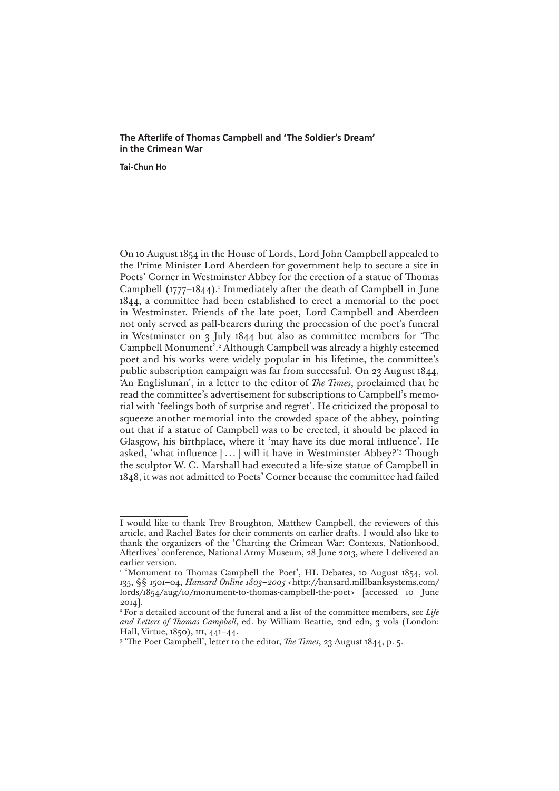## **The Afterlife of Thomas Campbell and 'The Soldier's Dream' in the Crimean War**

**Tai-Chun Ho**

On 10 August 1854 in the House of Lords, Lord John Campbell appealed to the Prime Minister Lord Aberdeen for government help to secure a site in Poets' Corner in Westminster Abbey for the erection of a statue of Thomas Campbell  $(1777-1844)$ .<sup>1</sup> Immediately after the death of Campbell in June 1844, a committee had been established to erect a memorial to the poet in Westminster. Friends of the late poet, Lord Campbell and Aberdeen not only served as pall-bearers during the procession of the poet's funeral in Westminster on 3 July 1844 but also as committee members for 'The Campbell Monument'.2 Although Campbell was already a highly esteemed poet and his works were widely popular in his lifetime, the committee's public subscription campaign was far from successful. On 23 August 1844, 'An Englishman', in a letter to the editor of *The Times*, proclaimed that he read the committee's advertisement for subscriptions to Campbell's memorial with 'feelings both of surprise and regret'. He criticized the proposal to squeeze another memorial into the crowded space of the abbey, pointing out that if a statue of Campbell was to be erected, it should be placed in Glasgow, his birthplace, where it 'may have its due moral influence'. He asked, 'what influence [...] will it have in Westminster Abbey?'3 Though the sculptor W. C. Marshall had executed a life-size statue of Campbell in 1848, it was not admitted to Poets' Corner because the committee had failed

I would like to thank Trev Broughton, Matthew Campbell, the reviewers of this article, and Rachel Bates for their comments on earlier drafts. I would also like to thank the organizers of the 'Charting the Crimean War: Contexts, Nationhood, Afterlives' conference, National Army Museum, 28 June 2013, where I delivered an earlier version.

<sup>&</sup>lt;sup>1</sup> 'Monument to Thomas Campbell the Poet', HL Debates, 10 August 1854, vol. 135, §§ 1501–04, *Hansard Online 1803–2005* [<http://hansard.millbanksystems.com/](http://hansard.millbanksystems.com/lords/1854/aug/10/monument-to-thomas-campbell-the-poet) [lords/1854/aug/10/monument-to-thomas-campbell-the-poet](http://hansard.millbanksystems.com/lords/1854/aug/10/monument-to-thomas-campbell-the-poet)> [accessed 10 June 2014].

<sup>&</sup>lt;sup>2</sup> For a detailed account of the funeral and a list of the committee members, see *Life and Letters of Thomas Campbell*, ed. by William Beattie, 2nd edn, 3 vols (London: Hall, Virtue, 1850), III, 441-44.

 <sup>&#</sup>x27;The Poet Campbell', letter to the editor, *The Times*, 23 August 1844, p. 5.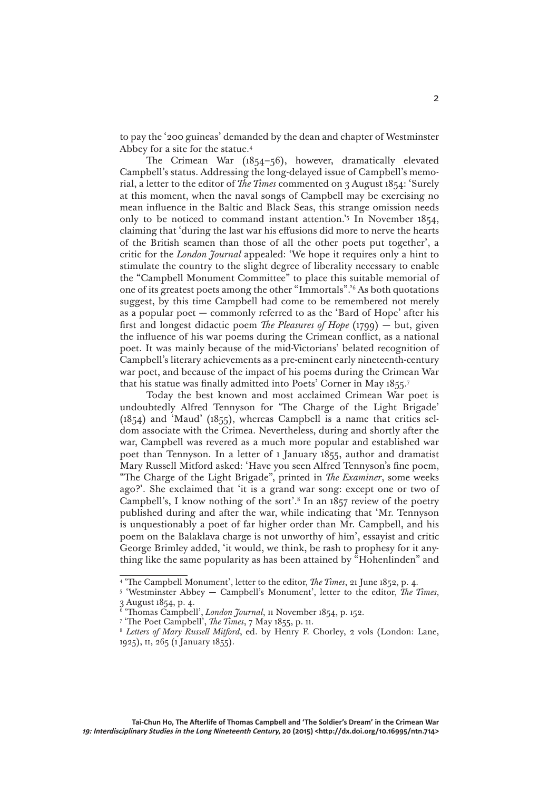to pay the '200 guineas' demanded by the dean and chapter of Westminster Abbey for a site for the statue.4

The Crimean War (1854–56), however, dramatically elevated Campbell's status. Addressing the long-delayed issue of Campbell's memorial, a letter to the editor of *The Times* commented on 3 August 1854: 'Surely at this moment, when the naval songs of Campbell may be exercising no mean influence in the Baltic and Black Seas, this strange omission needs only to be noticed to command instant attention.'5 In November 1854, claiming that 'during the last war his effusions did more to nerve the hearts of the British seamen than those of all the other poets put together', a critic for the *London Journal* appealed: 'We hope it requires only a hint to stimulate the country to the slight degree of liberality necessary to enable the "Campbell Monument Committee" to place this suitable memorial of one of its greatest poets among the other "Immortals".'6 As both quotations suggest, by this time Campbell had come to be remembered not merely as a popular poet — commonly referred to as the 'Bard of Hope' after his first and longest didactic poem *The Pleasures of Hope* (1799) — but, given the influence of his war poems during the Crimean conflict, as a national poet. It was mainly because of the mid-Victorians' belated recognition of Campbell's literary achievements as a pre-eminent early nineteenth-century war poet, and because of the impact of his poems during the Crimean War that his statue was finally admitted into Poets' Corner in May 1855.7

Today the best known and most acclaimed Crimean War poet is undoubtedly Alfred Tennyson for 'The Charge of the Light Brigade' (1854) and 'Maud' (1855), whereas Campbell is a name that critics seldom associate with the Crimea. Nevertheless, during and shortly after the war, Campbell was revered as a much more popular and established war poet than Tennyson. In a letter of 1 January 1855, author and dramatist Mary Russell Mitford asked: 'Have you seen Alfred Tennyson's fine poem, "The Charge of the Light Brigade", printed in *The Examiner*, some weeks ago?'. She exclaimed that 'it is a grand war song: except one or two of Campbell's, I know nothing of the sort'.<sup>8</sup> In an  $1857$  review of the poetry published during and after the war, while indicating that 'Mr. Tennyson is unquestionably a poet of far higher order than Mr. Campbell, and his poem on the Balaklava charge is not unworthy of him', essayist and critic George Brimley added, 'it would, we think, be rash to prophesy for it anything like the same popularity as has been attained by "Hohenlinden" and

<sup>4</sup> 'The Campbell Monument', letter to the editor, *The Times*, 21 June 1852, p. 4.

<sup>&</sup>lt;sup>5</sup> 'Westminster Abbey — Campbell's Monument', letter to the editor, *The Times*, 3 August 1854, p. 4.

<sup>&</sup>lt;sup>6</sup> 'Thomas Campbell', *London Journal*, 11 November 1854, p. 152.<br>7 'The Poet Campbell' *The Times* 7 May 1855, p. 11

<sup>&</sup>lt;sup>8</sup> Letters of Mary Russell Mitford, ed. by Henry F. Chorley, 2 vols (London: Lane, 1925), II, 265 (1 January 1855).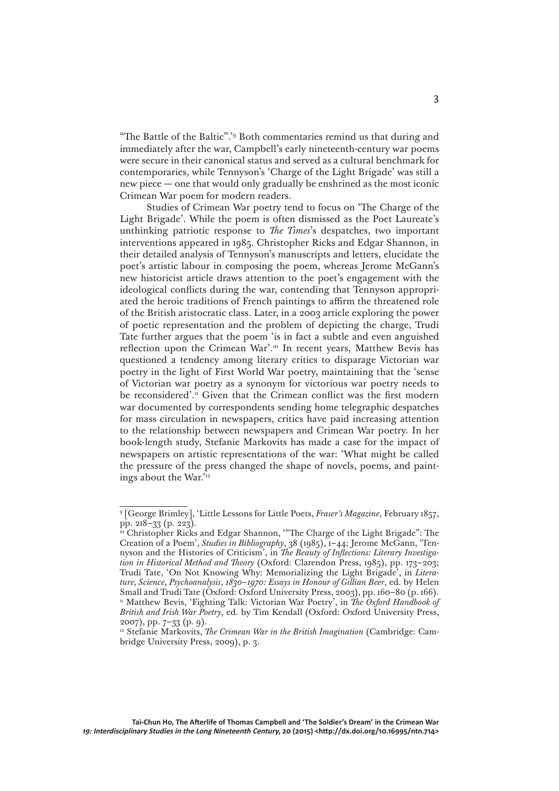"The Battle of the Baltic".'9 Both commentaries remind us that during and immediately after the war, Campbell's early nineteenth-century war poems were secure in their canonical status and served as a cultural benchmark for contemporaries, while Tennyson's 'Charge of the Light Brigade' was still a new piece — one that would only gradually be enshrined as the most iconic Crimean War poem for modern readers.

Studies of Crimean War poetry tend to focus on 'The Charge of the Light Brigade'. While the poem is often dismissed as the Poet Laureate's unthinking patriotic response to *The Times*'s despatches, two important interventions appeared in 1985. Christopher Ricks and Edgar Shannon, in their detailed analysis of Tennyson's manuscripts and letters, elucidate the poet's artistic labour in composing the poem, whereas Jerome McGann's new historicist article draws attention to the poet's engagement with the ideological conflicts during the war, contending that Tennyson appropriated the heroic traditions of French paintings to affirm the threatened role of the British aristocratic class. Later, in a 2003 article exploring the power of poetic representation and the problem of depicting the charge, Trudi Tate further argues that the poem 'is in fact a subtle and even anguished reflection upon the Crimean War'.<sup>10</sup> In recent years, Matthew Bevis has questioned a tendency among literary critics to disparage Victorian war poetry in the light of First World War poetry, maintaining that the 'sense of Victorian war poetry as a synonym for victorious war poetry needs to be reconsidered'.<sup>11</sup> Given that the Crimean conflict was the first modern war documented by correspondents sending home telegraphic despatches for mass circulation in newspapers, critics have paid increasing attention to the relationship between newspapers and Crimean War poetry. In her book-length study, Stefanie Markovits has made a case for the impact of newspapers on artistic representations of the war: 'What might be called the pressure of the press changed the shape of novels, poems, and paintings about the War.'12

<sup>9</sup> [George Brimley], 'Little Lessons for Little Poets, *Fraser's Magazine*, February 1857, pp. 218–33 (p. 223).

<sup>10</sup> Christopher Ricks and Edgar Shannon, '"The Charge of the Light Brigade": The Creation of a Poem', *Studies in Bibliography*, 38 (1985), 1–44; Jerome McGann, 'Tennyson and the Histories of Criticism', in *The Beauty of Inflections: Literary Investigation in Historical Method and Theory* (Oxford: Clarendon Press, 1985), pp. 173–203; Trudi Tate, 'On Not Knowing Why: Memorializing the Light Brigade', in *Literature*, *Science*, *Psychoanalysis*, *1830–1970: Essays in Honour of Gillian Beer*, ed. by Helen Small and Trudi Tate (Oxford: Oxford University Press, 2003), pp. 160–80 (p. 166). <sup>11</sup> Matthew Bevis, 'Fighting Talk: Victorian War Poetry', in *The Oxford Handbook of British and Irish War Poetry*, ed. by Tim Kendall (Oxford: Oxford University Press, 2007), pp. 7–33 (p. 9).

<sup>&</sup>lt;sup>12</sup> Stefanie Markovits, *The Crimean War in the British Imagination* (Cambridge: Cambridge University Press, 2009), p. 3.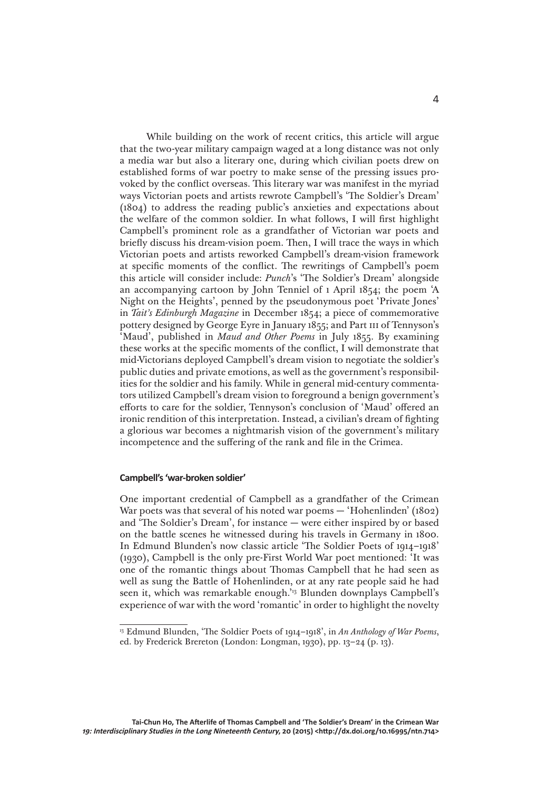While building on the work of recent critics, this article will argue that the two-year military campaign waged at a long distance was not only a media war but also a literary one, during which civilian poets drew on established forms of war poetry to make sense of the pressing issues provoked by the conflict overseas. This literary war was manifest in the myriad ways Victorian poets and artists rewrote Campbell's 'The Soldier's Dream' (1804) to address the reading public's anxieties and expectations about the welfare of the common soldier. In what follows, I will first highlight Campbell's prominent role as a grandfather of Victorian war poets and briefly discuss his dream-vision poem. Then, I will trace the ways in which Victorian poets and artists reworked Campbell's dream-vision framework at specific moments of the conflict. The rewritings of Campbell's poem this article will consider include: *Punch*'s 'The Soldier's Dream' alongside an accompanying cartoon by John Tenniel of 1 April 1854; the poem 'A Night on the Heights', penned by the pseudonymous poet 'Private Jones' in *Tait's Edinburgh Magazine* in December 1854; a piece of commemorative pottery designed by George Eyre in January 1855; and Part iii of Tennyson's 'Maud', published in *Maud and Other Poems* in July 1855. By examining these works at the specific moments of the conflict, I will demonstrate that mid-Victorians deployed Campbell's dream vision to negotiate the soldier's public duties and private emotions, as well as the government's responsibilities for the soldier and his family. While in general mid-century commentators utilized Campbell's dream vision to foreground a benign government's efforts to care for the soldier, Tennyson's conclusion of 'Maud' offered an ironic rendition of this interpretation. Instead, a civilian's dream of fighting a glorious war becomes a nightmarish vision of the government's military incompetence and the suffering of the rank and file in the Crimea.

## **Campbell's 'war-broken soldier'**

One important credential of Campbell as a grandfather of the Crimean War poets was that several of his noted war poems — 'Hohenlinden' (1802) and 'The Soldier's Dream', for instance — were either inspired by or based on the battle scenes he witnessed during his travels in Germany in 1800. In Edmund Blunden's now classic article 'The Soldier Poets of 1914–1918' (1930), Campbell is the only pre-First World War poet mentioned: 'It was one of the romantic things about Thomas Campbell that he had seen as well as sung the Battle of Hohenlinden, or at any rate people said he had seen it, which was remarkable enough.<sup>'13</sup> Blunden downplays Campbell's experience of war with the word 'romantic' in order to highlight the novelty

<sup>13</sup> Edmund Blunden, 'The Soldier Poets of 1914–1918', in *An Anthology of War Poems*, ed. by Frederick Brereton (London: Longman, 1930), pp. 13–24 (p. 13).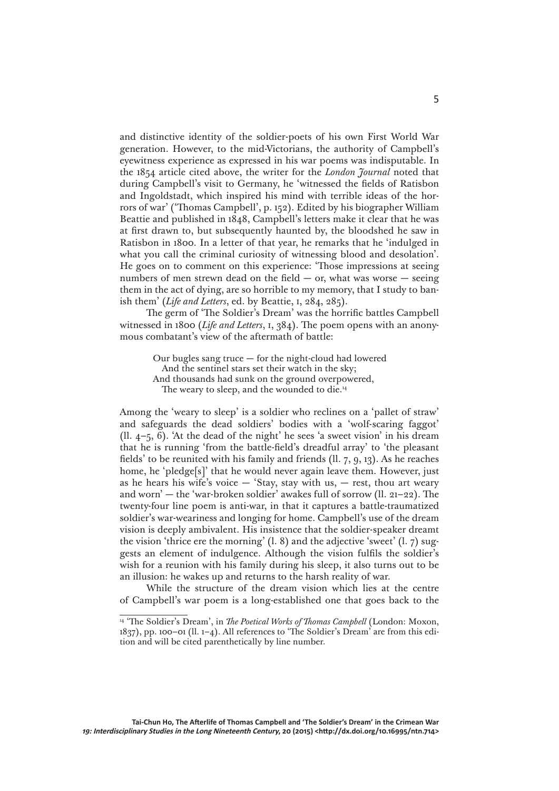and distinctive identity of the soldier-poets of his own First World War generation. However, to the mid-Victorians, the authority of Campbell's eyewitness experience as expressed in his war poems was indisputable. In the 1854 article cited above, the writer for the *London Journal* noted that during Campbell's visit to Germany, he 'witnessed the fields of Ratisbon and Ingoldstadt, which inspired his mind with terrible ideas of the horrors of war' ('Thomas Campbell', p. 152). Edited by his biographer William Beattie and published in 1848, Campbell's letters make it clear that he was at first drawn to, but subsequently haunted by, the bloodshed he saw in Ratisbon in 1800. In a letter of that year, he remarks that he 'indulged in what you call the criminal curiosity of witnessing blood and desolation'. He goes on to comment on this experience: 'Those impressions at seeing numbers of men strewn dead on the field  $-$  or, what was worse  $-$  seeing them in the act of dying, are so horrible to my memory, that I study to banish them' (*Life and Letters*, ed. by Beattie, i, 284, 285).

The germ of 'The Soldier's Dream' was the horrific battles Campbell witnessed in 1800 (*Life and Letters*, i, 384). The poem opens with an anonymous combatant's view of the aftermath of battle:

> Our bugles sang truce — for the night-cloud had lowered And the sentinel stars set their watch in the sky; And thousands had sunk on the ground overpowered, The weary to sleep, and the wounded to die.<sup>14</sup>

Among the 'weary to sleep' is a soldier who reclines on a 'pallet of straw' and safeguards the dead soldiers' bodies with a 'wolf-scaring faggot' (ll. 4–5, 6). 'At the dead of the night' he sees 'a sweet vision' in his dream that he is running 'from the battle-field's dreadful array' to 'the pleasant fields' to be reunited with his family and friends (ll. 7, 9, 13). As he reaches home, he 'pledge[s]' that he would never again leave them. However, just as he hears his wife's voice  $-$  'Stay, stay with us,  $-$  rest, thou art weary and worn' — the 'war-broken soldier' awakes full of sorrow (ll. 21–22). The twenty-four line poem is anti-war, in that it captures a battle-traumatized soldier's war-weariness and longing for home. Campbell's use of the dream vision is deeply ambivalent. His insistence that the soldier-speaker dreamt the vision 'thrice ere the morning' (l. 8) and the adjective 'sweet' (l. 7) suggests an element of indulgence. Although the vision fulfils the soldier's wish for a reunion with his family during his sleep, it also turns out to be an illusion: he wakes up and returns to the harsh reality of war.

While the structure of the dream vision which lies at the centre of Campbell's war poem is a long-established one that goes back to the

<sup>&</sup>lt;sup>14</sup> 'The Soldier's Dream', in *The Poetical Works of Thomas Campbell* (London: Moxon, 1837), pp. 100–01 (ll. 1–4). All references to 'The Soldier's Dream' are from this edition and will be cited parenthetically by line number.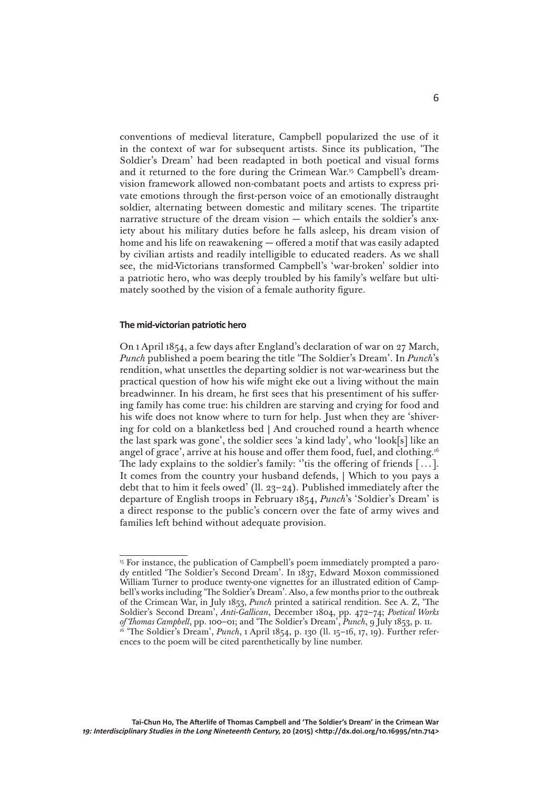conventions of medieval literature, Campbell popularized the use of it in the context of war for subsequent artists. Since its publication, 'The Soldier's Dream' had been readapted in both poetical and visual forms and it returned to the fore during the Crimean War.15 Campbell's dreamvision framework allowed non-combatant poets and artists to express private emotions through the first-person voice of an emotionally distraught soldier, alternating between domestic and military scenes. The tripartite narrative structure of the dream vision — which entails the soldier's anxiety about his military duties before he falls asleep, his dream vision of home and his life on reawakening — offered a motif that was easily adapted by civilian artists and readily intelligible to educated readers. As we shall see, the mid-Victorians transformed Campbell's 'war-broken' soldier into a patriotic hero, who was deeply troubled by his family's welfare but ultimately soothed by the vision of a female authority figure.

## **The mid-victorian patriotic hero**

On 1 April 1854, a few days after England's declaration of war on 27 March, *Punch* published a poem bearing the title 'The Soldier's Dream'. In *Punch*'s rendition, what unsettles the departing soldier is not war-weariness but the practical question of how his wife might eke out a living without the main breadwinner. In his dream, he first sees that his presentiment of his suffering family has come true: his children are starving and crying for food and his wife does not know where to turn for help. Just when they are 'shivering for cold on a blanketless bed | And crouched round a hearth whence the last spark was gone', the soldier sees 'a kind lady', who 'look[s] like an angel of grace', arrive at his house and offer them food, fuel, and clothing.16 The lady explains to the soldier's family: "tis the offering of friends [...]. It comes from the country your husband defends, | Which to you pays a debt that to him it feels owed' (ll. 23–24). Published immediately after the departure of English troops in February 1854, *Punch*'s 'Soldier's Dream' is a direct response to the public's concern over the fate of army wives and families left behind without adequate provision.

<sup>&</sup>lt;sup>15</sup> For instance, the publication of Campbell's poem immediately prompted a parody entitled 'The Soldier's Second Dream'. In 1837, Edward Moxon commissioned William Turner to produce twenty-one vignettes for an illustrated edition of Campbell's works including 'The Soldier's Dream'. Also, a few months prior to the outbreak of the Crimean War, in July 1853, *Punch* printed a satirical rendition. See A. Z, 'The Soldier's Second Dream', *Anti-Gallican*, December 1804, pp. 472–74; *Poetical Works*  <sup>16</sup> 'The Soldier's Dream', *Punch*, 1 April 1854, p. 130 (ll. 15–16, 17, 19). Further references to the poem will be cited parenthetically by line number.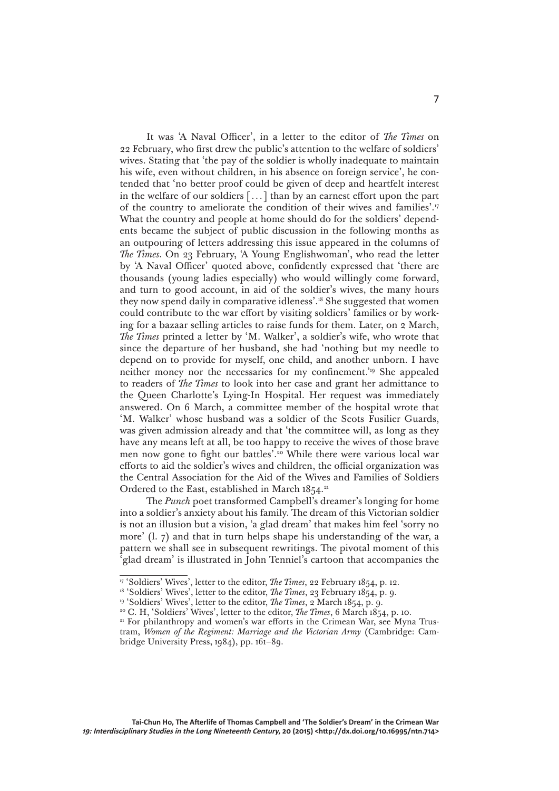It was 'A Naval Officer', in a letter to the editor of *The Times* on 22 February, who first drew the public's attention to the welfare of soldiers' wives. Stating that 'the pay of the soldier is wholly inadequate to maintain his wife, even without children, in his absence on foreign service', he contended that 'no better proof could be given of deep and heartfelt interest in the welfare of our soldiers [...] than by an earnest effort upon the part of the country to ameliorate the condition of their wives and families'.17 What the country and people at home should do for the soldiers' dependents became the subject of public discussion in the following months as an outpouring of letters addressing this issue appeared in the columns of *The Times*. On 23 February, 'A Young Englishwoman', who read the letter by 'A Naval Officer' quoted above, confidently expressed that 'there are thousands (young ladies especially) who would willingly come forward, and turn to good account, in aid of the soldier's wives, the many hours they now spend daily in comparative idleness'.18 She suggested that women could contribute to the war effort by visiting soldiers' families or by working for a bazaar selling articles to raise funds for them. Later, on 2 March, *The Times* printed a letter by 'M. Walker', a soldier's wife, who wrote that since the departure of her husband, she had 'nothing but my needle to depend on to provide for myself, one child, and another unborn. I have neither money nor the necessaries for my confinement.<sup>'19</sup> She appealed to readers of *The Times* to look into her case and grant her admittance to the Queen Charlotte's Lying-In Hospital. Her request was immediately answered. On 6 March, a committee member of the hospital wrote that 'M. Walker' whose husband was a soldier of the Scots Fusilier Guards, was given admission already and that 'the committee will, as long as they have any means left at all, be too happy to receive the wives of those brave men now gone to fight our battles'.<sup>20</sup> While there were various local war efforts to aid the soldier's wives and children, the official organization was the Central Association for the Aid of the Wives and Families of Soldiers Ordered to the East, established in March 1854.<sup>21</sup>

The *Punch* poet transformed Campbell's dreamer's longing for home into a soldier's anxiety about his family. The dream of this Victorian soldier is not an illusion but a vision, 'a glad dream' that makes him feel 'sorry no more' (l. 7) and that in turn helps shape his understanding of the war, a pattern we shall see in subsequent rewritings. The pivotal moment of this 'glad dream' is illustrated in John Tenniel's cartoon that accompanies the

<sup>&</sup>lt;sup>17</sup> 'Soldiers' Wives', letter to the editor, *The Times*, 22 February 1854, p. 12.<br><sup>18</sup> 'Soldiers' Wives', letter to the editor, *The Times*, 23 February 1854, p. 9.

<sup>&</sup>lt;sup>19</sup> 'Soldiers' Wives', letter to the editor, *The Times*, 2 March 1854, p. 9.

<sup>&</sup>lt;sup>20</sup> C. H, 'Soldiers' Wives', letter to the editor, *The Times*, 6 March 1854, p. 10.

<sup>&</sup>lt;sup>21</sup> For philanthropy and women's war efforts in the Crimean War, see Myna Trustram, *Women of the Regiment: Marriage and the Victorian Army* (Cambridge: Cambridge University Press, 1984), pp. 161–89.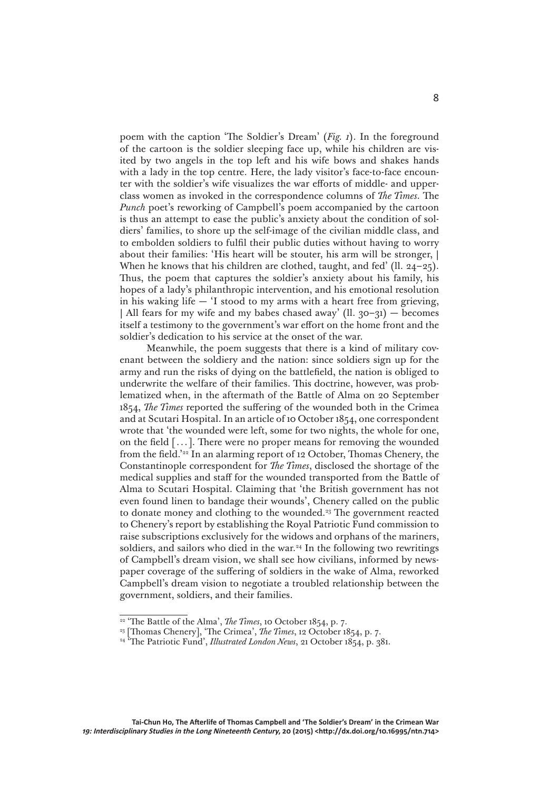poem with the caption 'The Soldier's Dream' (*Fig. 1*). In the foreground of the cartoon is the soldier sleeping face up, while his children are visited by two angels in the top left and his wife bows and shakes hands with a lady in the top centre. Here, the lady visitor's face-to-face encounter with the soldier's wife visualizes the war efforts of middle- and upperclass women as invoked in the correspondence columns of *The Times*. The *Punch* poet's reworking of Campbell's poem accompanied by the cartoon is thus an attempt to ease the public's anxiety about the condition of soldiers' families, to shore up the self-image of the civilian middle class, and to embolden soldiers to fulfil their public duties without having to worry about their families: 'His heart will be stouter, his arm will be stronger, | When he knows that his children are clothed, taught, and fed' (II.  $24-25$ ). Thus, the poem that captures the soldier's anxiety about his family, his hopes of a lady's philanthropic intervention, and his emotional resolution in his waking life  $-$  'I stood to my arms with a heart free from grieving, | All fears for my wife and my babes chased away' (ll.  $30-31$ ) — becomes itself a testimony to the government's war effort on the home front and the soldier's dedication to his service at the onset of the war.

Meanwhile, the poem suggests that there is a kind of military covenant between the soldiery and the nation: since soldiers sign up for the army and run the risks of dying on the battlefield, the nation is obliged to underwrite the welfare of their families. This doctrine, however, was problematized when, in the aftermath of the Battle of Alma on 20 September 1854, *The Times* reported the suffering of the wounded both in the Crimea and at Scutari Hospital. In an article of 10 October 1854, one correspondent wrote that 'the wounded were left, some for two nights, the whole for one, on the field [...]. There were no proper means for removing the wounded from the field.'22 In an alarming report of 12 October, Thomas Chenery, the Constantinople correspondent for *The Times*, disclosed the shortage of the medical supplies and staff for the wounded transported from the Battle of Alma to Scutari Hospital. Claiming that 'the British government has not even found linen to bandage their wounds', Chenery called on the public to donate money and clothing to the wounded.<sup>23</sup> The government reacted to Chenery's report by establishing the Royal Patriotic Fund commission to raise subscriptions exclusively for the widows and orphans of the mariners, soldiers, and sailors who died in the war.<sup>24</sup> In the following two rewritings of Campbell's dream vision, we shall see how civilians, informed by newspaper coverage of the suffering of soldiers in the wake of Alma, reworked Campbell's dream vision to negotiate a troubled relationship between the government, soldiers, and their families.

<sup>&</sup>lt;sup>22</sup> 'The Battle of the Alma', *The Times*, 10 October 1854, p. 7.

<sup>23 [</sup>Thomas Chenery], 'The Crimea', *The Times*, 12 October 1854, p. 7.

<sup>24 &#</sup>x27;The Patriotic Fund', *Illustrated London News*, 21 October 1854, p. 381.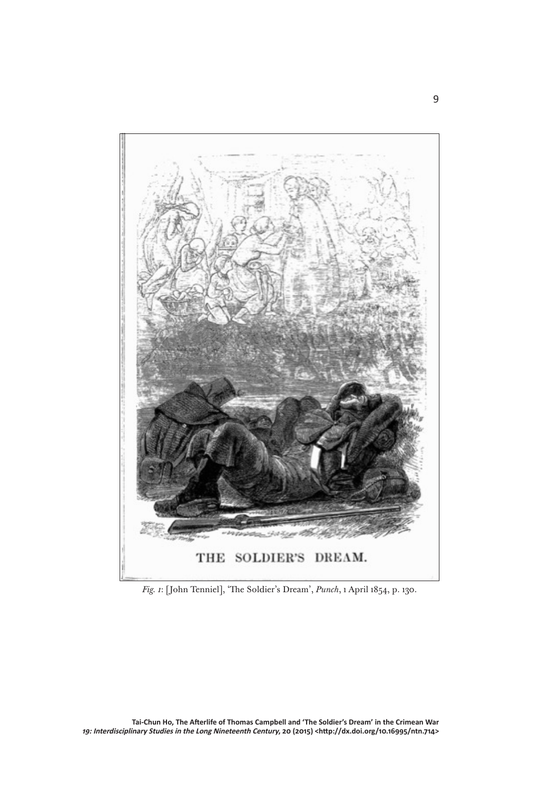

*Fig. 1*: [John Tenniel], 'The Soldier's Dream', *Punch*, 1 April 1854, p. 130.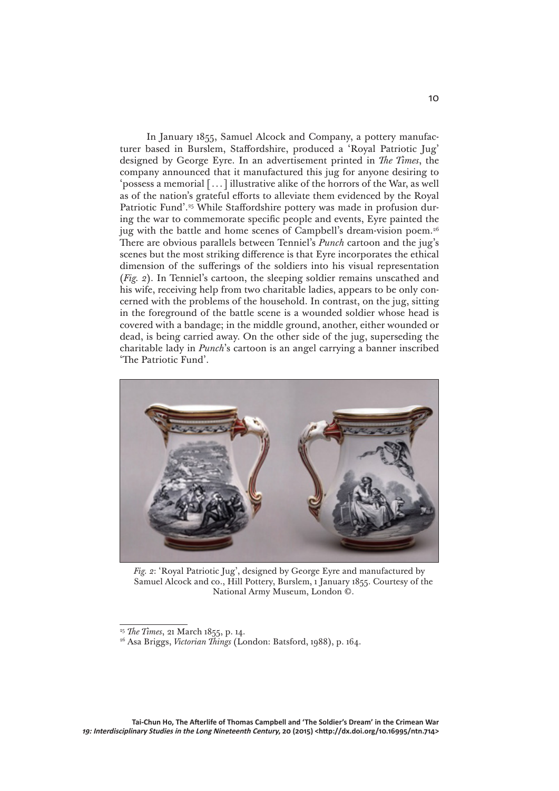In January 1855, Samuel Alcock and Company, a pottery manufacturer based in Burslem, Staffordshire, produced a 'Royal Patriotic Jug' designed by George Eyre. In an advertisement printed in *The Times*, the company announced that it manufactured this jug for anyone desiring to 'possess a memorial [...] illustrative alike of the horrors of the War, as well as of the nation's grateful efforts to alleviate them evidenced by the Royal Patriotic Fund'.<sup>25</sup> While Staffordshire pottery was made in profusion during the war to commemorate specific people and events, Eyre painted the jug with the battle and home scenes of Campbell's dream-vision poem.<sup>26</sup> There are obvious parallels between Tenniel's *Punch* cartoon and the jug's scenes but the most striking difference is that Eyre incorporates the ethical dimension of the sufferings of the soldiers into his visual representation (*Fig. 2*). In Tenniel's cartoon, the sleeping soldier remains unscathed and his wife, receiving help from two charitable ladies, appears to be only concerned with the problems of the household. In contrast, on the jug, sitting in the foreground of the battle scene is a wounded soldier whose head is covered with a bandage; in the middle ground, another, either wounded or dead, is being carried away. On the other side of the jug, superseding the charitable lady in *Punch*'s cartoon is an angel carrying a banner inscribed 'The Patriotic Fund'.



*Fig. 2*: 'Royal Patriotic Jug', designed by George Eyre and manufactured by Samuel Alcock and co., Hill Pottery, Burslem, 1 January 1855. Courtesy of the National Army Museum, London ©.

**Tai-Chun Ho, The Afterlife of Thomas Campbell and 'The Soldier's Dream' in the Crimean War 19: Interdisciplinary Studies in the Long Nineteenth Century, 20 (2015) <http://dx.doi.org/10.16995/ntn.714>**

<sup>25</sup> *The Times*, 21 March 1855, p. 14.

<sup>26</sup> Asa Briggs, *Victorian Things* (London: Batsford, 1988), p. 164.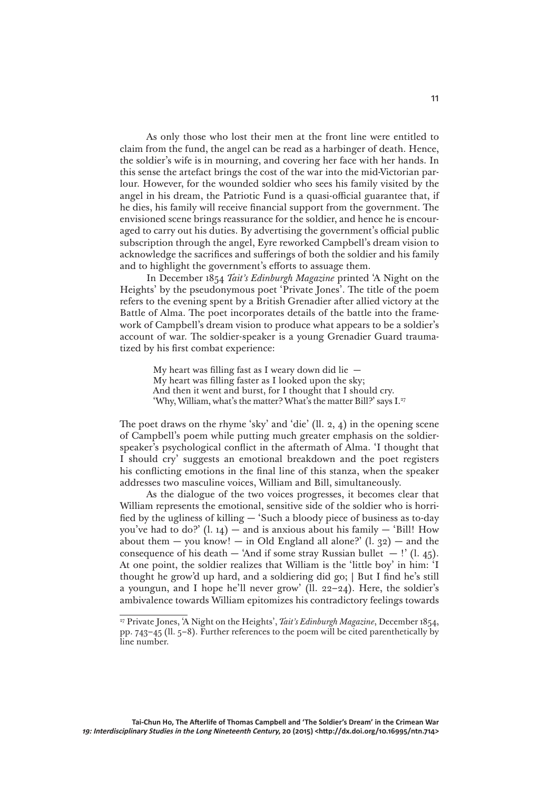As only those who lost their men at the front line were entitled to claim from the fund, the angel can be read as a harbinger of death. Hence, the soldier's wife is in mourning, and covering her face with her hands. In this sense the artefact brings the cost of the war into the mid-Victorian parlour. However, for the wounded soldier who sees his family visited by the angel in his dream, the Patriotic Fund is a quasi-official guarantee that, if he dies, his family will receive financial support from the government. The envisioned scene brings reassurance for the soldier, and hence he is encouraged to carry out his duties. By advertising the government's official public subscription through the angel, Eyre reworked Campbell's dream vision to acknowledge the sacrifices and sufferings of both the soldier and his family and to highlight the government's efforts to assuage them.

In December 1854 *Tait's Edinburgh Magazine* printed 'A Night on the Heights' by the pseudonymous poet 'Private Jones'. The title of the poem refers to the evening spent by a British Grenadier after allied victory at the Battle of Alma. The poet incorporates details of the battle into the framework of Campbell's dream vision to produce what appears to be a soldier's account of war. The soldier-speaker is a young Grenadier Guard traumatized by his first combat experience:

> My heart was filling fast as I weary down did lie — My heart was filling faster as I looked upon the sky; And then it went and burst, for I thought that I should cry. 'Why, William, what's the matter? What's the matter Bill?' says I.<sup>27</sup>

The poet draws on the rhyme 'sky' and 'die' (ll. 2, 4) in the opening scene of Campbell's poem while putting much greater emphasis on the soldierspeaker's psychological conflict in the aftermath of Alma. 'I thought that I should cry' suggests an emotional breakdown and the poet registers his conflicting emotions in the final line of this stanza, when the speaker addresses two masculine voices, William and Bill, simultaneously.

As the dialogue of the two voices progresses, it becomes clear that William represents the emotional, sensitive side of the soldier who is horrified by the ugliness of killing — 'Such a bloody piece of business as to-day you've had to do?'  $(l. 14)$  — and is anxious about his family — 'Bill! How about them — you know! — in Old England all alone?'  $(l. 32)$  — and the consequence of his death — 'And if some stray Russian bullet  $-$ !' (l. 45). At one point, the soldier realizes that William is the 'little boy' in him: 'I thought he grow'd up hard, and a soldiering did go; | But I find he's still a youngun, and I hope he'll never grow' (ll. 22–24). Here, the soldier's ambivalence towards William epitomizes his contradictory feelings towards

<sup>27</sup> Private Jones, 'A Night on the Heights', *Tait's Edinburgh Magazine*, December 1854, pp. 743–45 (ll. 5–8). Further references to the poem will be cited parenthetically by line number.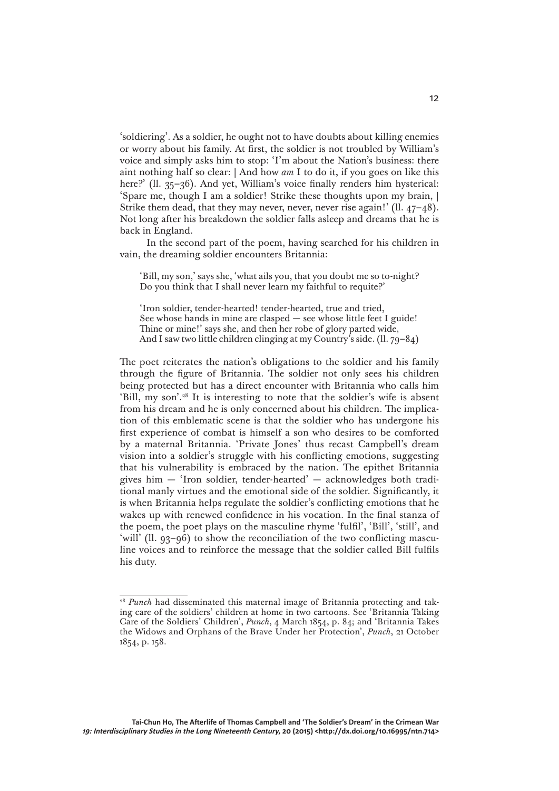'soldiering'. As a soldier, he ought not to have doubts about killing enemies or worry about his family. At first, the soldier is not troubled by William's voice and simply asks him to stop: 'I'm about the Nation's business: there aint nothing half so clear: | And how *am* I to do it, if you goes on like this here?' (ll. 35-36). And yet, William's voice finally renders him hysterical: 'Spare me, though I am a soldier! Strike these thoughts upon my brain, | Strike them dead, that they may never, never, never rise again!' (ll. 47–48). Not long after his breakdown the soldier falls asleep and dreams that he is back in England.

In the second part of the poem, having searched for his children in vain, the dreaming soldier encounters Britannia:

'Bill, my son,' says she, 'what ails you, that you doubt me so to-night? Do you think that I shall never learn my faithful to requite?'

'Iron soldier, tender-hearted! tender-hearted, true and tried, See whose hands in mine are clasped — see whose little feet I guide! Thine or mine!' says she, and then her robe of glory parted wide, And I saw two little children clinging at my Country's side. (ll. 79–84)

The poet reiterates the nation's obligations to the soldier and his family through the figure of Britannia. The soldier not only sees his children being protected but has a direct encounter with Britannia who calls him 'Bill, my son'.<sup>28</sup> It is interesting to note that the soldier's wife is absent from his dream and he is only concerned about his children. The implication of this emblematic scene is that the soldier who has undergone his first experience of combat is himself a son who desires to be comforted by a maternal Britannia. 'Private Jones' thus recast Campbell's dream vision into a soldier's struggle with his conflicting emotions, suggesting that his vulnerability is embraced by the nation. The epithet Britannia gives him — 'Iron soldier, tender-hearted' — acknowledges both traditional manly virtues and the emotional side of the soldier. Significantly, it is when Britannia helps regulate the soldier's conflicting emotions that he wakes up with renewed confidence in his vocation. In the final stanza of the poem, the poet plays on the masculine rhyme 'fulfil', 'Bill', 'still', and 'will' (ll. 93–96) to show the reconciliation of the two conflicting masculine voices and to reinforce the message that the soldier called Bill fulfils his duty.

<sup>&</sup>lt;sup>28</sup> *Punch* had disseminated this maternal image of Britannia protecting and taking care of the soldiers' children at home in two cartoons. See 'Britannia Taking Care of the Soldiers' Children', *Punch*, 4 March 1854, p. 84; and 'Britannia Takes the Widows and Orphans of the Brave Under her Protection', *Punch*, 21 October 1854, p. 158.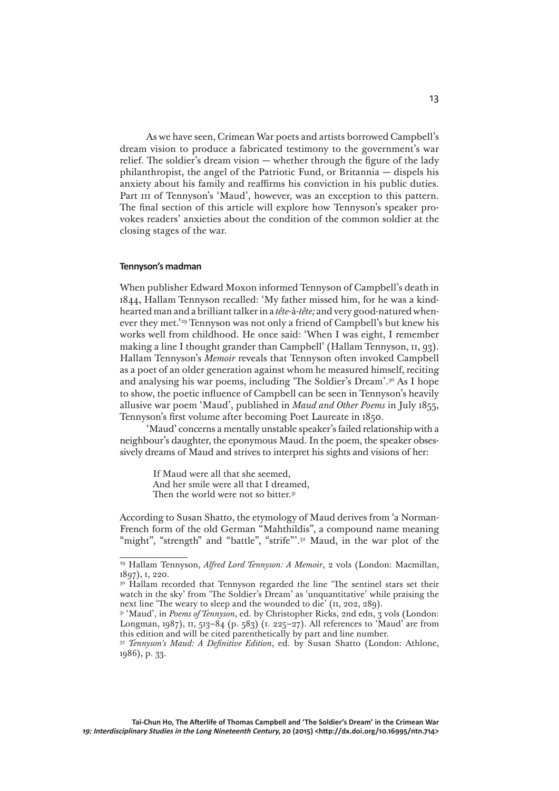As we have seen, Crimean War poets and artists borrowed Campbell's dream vision to produce a fabricated testimony to the government's war relief. The soldier's dream vision — whether through the figure of the lady philanthropist, the angel of the Patriotic Fund, or Britannia — dispels his anxiety about his family and reaffirms his conviction in his public duties. Part III of Tennyson's 'Maud', however, was an exception to this pattern. The final section of this article will explore how Tennyson's speaker provokes readers' anxieties about the condition of the common soldier at the closing stages of the war.

## **Tennyson's madman**

When publisher Edward Moxon informed Tennyson of Campbell's death in 1844, Hallam Tennyson recalled: 'My father missed him, for he was a kindhearted man and a brilliant talker in a *tête*-à-*tête;* and very good-natured whenever they met.'29 Tennyson was not only a friend of Campbell's but knew his works well from childhood. He once said: 'When I was eight, I remember making a line I thought grander than Campbell' (Hallam Tennyson, II, 93). Hallam Tennyson's *Memoir* reveals that Tennyson often invoked Campbell as a poet of an older generation against whom he measured himself, reciting and analysing his war poems, including 'The Soldier's Dream'.30 As I hope to show, the poetic influence of Campbell can be seen in Tennyson's heavily allusive war poem 'Maud', published in *Maud and Other Poems* in July 1855, Tennyson's first volume after becoming Poet Laureate in 1850.

'Maud' concerns a mentally unstable speaker's failed relationship with a neighbour's daughter, the eponymous Maud. In the poem, the speaker obsessively dreams of Maud and strives to interpret his sights and visions of her:

> If Maud were all that she seemed, And her smile were all that I dreamed, Then the world were not so bitter.<sup>31</sup>

According to Susan Shatto, the etymology of Maud derives from 'a Norman-French form of the old German "Mahthildis", a compound name meaning "might", "strength" and "battle", "strife"'.<sup>32</sup> Maud, in the war plot of the

<sup>29</sup> Hallam Tennyson, *Alfred Lord Tennyson: A Memoir*, 2 vols (London: Macmillan, 1897), 1, 220.<br><sup>30</sup> Hallam recorded that Tennyson regarded the line 'The sentinel stars set their

watch in the sky' from 'The Soldier's Dream' as 'unquantitative' while praising the next line 'The weary to sleep and the wounded to die' (II, 202, 289).

<sup>&</sup>lt;sup>31</sup> 'Maud', in *Poems of Tennyson*, ed. by Christopher Ricks, 2nd edn, 3 vols (London: Longman, 1987), 11, 513–84 (p. 583) (1. 225–27). All references to 'Maud' are from this edition and will be cited parenthetically by part and line number.

<sup>32</sup> *Tennyson's Maud: A Definitive Edition*, ed. by Susan Shatto (London: Athlone, 1986), p. 33.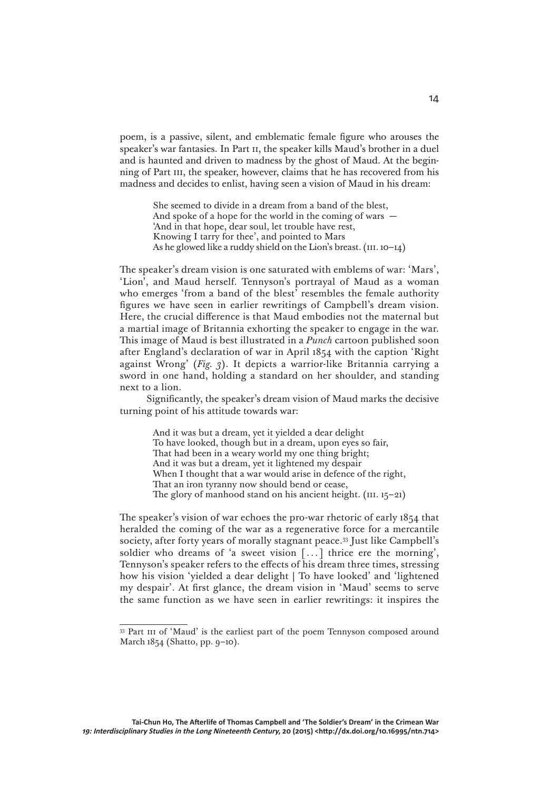poem, is a passive, silent, and emblematic female figure who arouses the speaker's war fantasies. In Part II, the speaker kills Maud's brother in a duel and is haunted and driven to madness by the ghost of Maud. At the beginning of Part III, the speaker, however, claims that he has recovered from his madness and decides to enlist, having seen a vision of Maud in his dream:

> She seemed to divide in a dream from a band of the blest, And spoke of a hope for the world in the coming of wars  $-$ 'And in that hope, dear soul, let trouble have rest, Knowing I tarry for thee', and pointed to Mars As he glowed like a ruddy shield on the Lion's breast.  $(iii. 10-14)$

The speaker's dream vision is one saturated with emblems of war: 'Mars', 'Lion', and Maud herself. Tennyson's portrayal of Maud as a woman who emerges 'from a band of the blest' resembles the female authority figures we have seen in earlier rewritings of Campbell's dream vision. Here, the crucial difference is that Maud embodies not the maternal but a martial image of Britannia exhorting the speaker to engage in the war. This image of Maud is best illustrated in a *Punch* cartoon published soon after England's declaration of war in April 1854 with the caption 'Right against Wrong' (*Fig. 3*). It depicts a warrior-like Britannia carrying a sword in one hand, holding a standard on her shoulder, and standing next to a lion.

Significantly, the speaker's dream vision of Maud marks the decisive turning point of his attitude towards war:

> And it was but a dream, yet it yielded a dear delight To have looked, though but in a dream, upon eyes so fair, That had been in a weary world my one thing bright; And it was but a dream, yet it lightened my despair When I thought that a war would arise in defence of the right, That an iron tyranny now should bend or cease, The glory of manhood stand on his ancient height.  $(iii. 15-21)$

The speaker's vision of war echoes the pro-war rhetoric of early 1854 that heralded the coming of the war as a regenerative force for a mercantile society, after forty years of morally stagnant peace.33 Just like Campbell's soldier who dreams of 'a sweet vision [...] thrice ere the morning', Tennyson's speaker refers to the effects of his dream three times, stressing how his vision 'yielded a dear delight | To have looked' and 'lightened my despair'. At first glance, the dream vision in 'Maud' seems to serve the same function as we have seen in earlier rewritings: it inspires the

<sup>&</sup>lt;sup>33</sup> Part III of 'Maud' is the earliest part of the poem Tennyson composed around March 1854 (Shatto, pp. 9–10).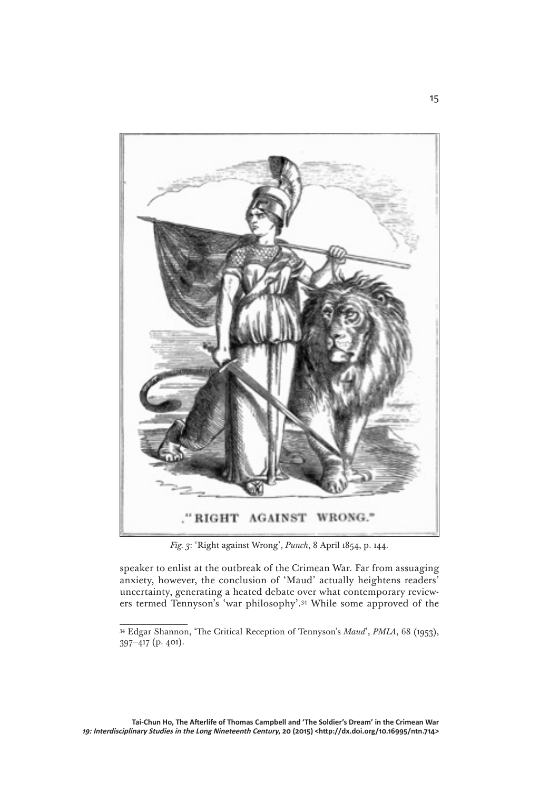

*Fig. 3*: 'Right against Wrong', *Punch*, 8 April 1854, p. 144.

speaker to enlist at the outbreak of the Crimean War. Far from assuaging anxiety, however, the conclusion of 'Maud' actually heightens readers' uncertainty, generating a heated debate over what contemporary reviewers termed Tennyson's 'war philosophy'.34 While some approved of the

<sup>34</sup> Edgar Shannon, 'The Critical Reception of Tennyson's *Maud*', *PMLA*, 68 (1953),  $397-417$  (p. 401).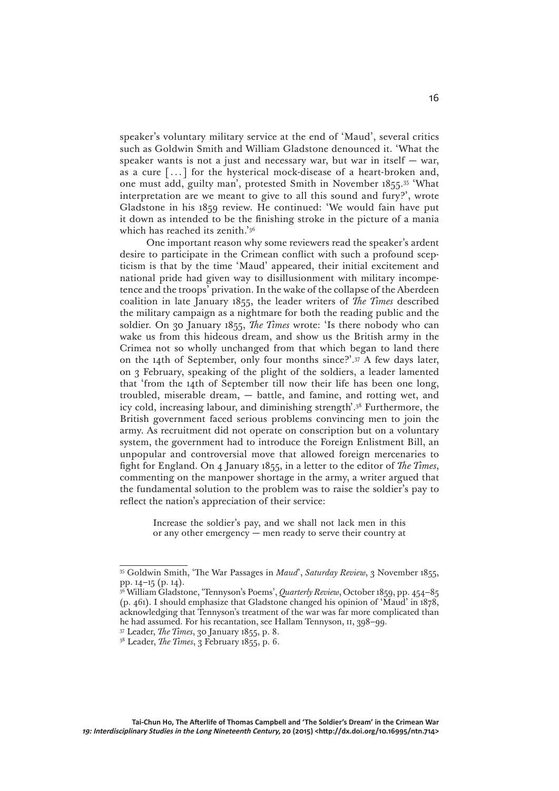speaker's voluntary military service at the end of 'Maud', several critics such as Goldwin Smith and William Gladstone denounced it. 'What the speaker wants is not a just and necessary war, but war in itself  $-$  war, as a cure [. . .] for the hysterical mock-disease of a heart-broken and, one must add, guilty man', protested Smith in November 1855.35 'What interpretation are we meant to give to all this sound and fury?', wrote Gladstone in his 1859 review. He continued: 'We would fain have put it down as intended to be the finishing stroke in the picture of a mania which has reached its zenith.'36

One important reason why some reviewers read the speaker's ardent desire to participate in the Crimean conflict with such a profound scepticism is that by the time 'Maud' appeared, their initial excitement and national pride had given way to disillusionment with military incompetence and the troops' privation. In the wake of the collapse of the Aberdeen coalition in late January 1855, the leader writers of *The Times* described the military campaign as a nightmare for both the reading public and the soldier. On 30 January 1855, *The Times* wrote: 'Is there nobody who can wake us from this hideous dream, and show us the British army in the Crimea not so wholly unchanged from that which began to land there on the 14th of September, only four months since?'.37 A few days later, on 3 February, speaking of the plight of the soldiers, a leader lamented that 'from the 14th of September till now their life has been one long, troubled, miserable dream, — battle, and famine, and rotting wet, and icy cold, increasing labour, and diminishing strength'.38 Furthermore, the British government faced serious problems convincing men to join the army. As recruitment did not operate on conscription but on a voluntary system, the government had to introduce the Foreign Enlistment Bill, an unpopular and controversial move that allowed foreign mercenaries to fight for England. On 4 January 1855, in a letter to the editor of *The Times*, commenting on the manpower shortage in the army, a writer argued that the fundamental solution to the problem was to raise the soldier's pay to reflect the nation's appreciation of their service:

> Increase the soldier's pay, and we shall not lack men in this or any other emergency — men ready to serve their country at

<sup>35</sup> Goldwin Smith, 'The War Passages in *Maud*', *Saturday Review*, 3 November 1855, pp. 14–15 (p. 14).

<sup>36</sup> William Gladstone, 'Tennyson's Poems', *Quarterly Review*, October 1859, pp. 454–85 (p. 461). I should emphasize that Gladstone changed his opinion of 'Maud' in 1878, acknowledging that Tennyson's treatment of the war was far more complicated than he had assumed. For his recantation, see Hallam Tennyson, II, 398-99.

<sup>37</sup> Leader, *The Times*, 30 January 1855, p. 8.

<sup>38</sup> Leader, *The Times*, 3 February 1855, p. 6.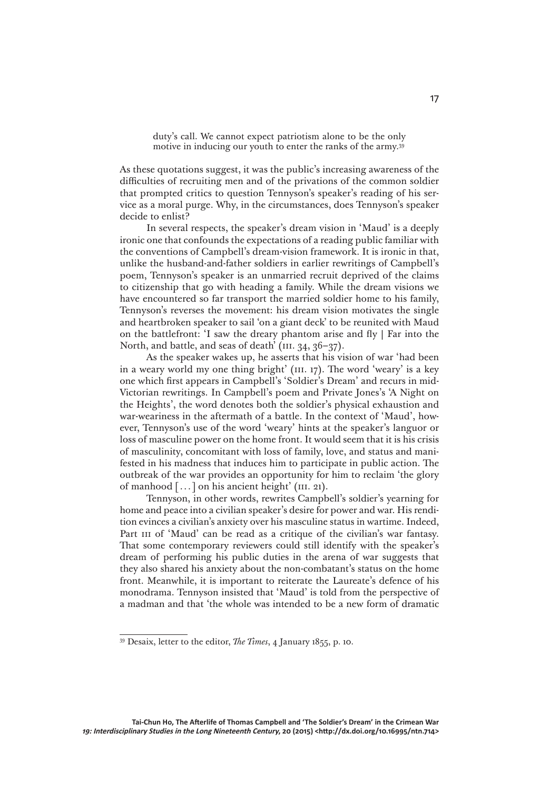duty's call. We cannot expect patriotism alone to be the only motive in inducing our youth to enter the ranks of the army.39

As these quotations suggest, it was the public's increasing awareness of the difficulties of recruiting men and of the privations of the common soldier that prompted critics to question Tennyson's speaker's reading of his service as a moral purge. Why, in the circumstances, does Tennyson's speaker decide to enlist?

In several respects, the speaker's dream vision in 'Maud' is a deeply ironic one that confounds the expectations of a reading public familiar with the conventions of Campbell's dream-vision framework. It is ironic in that, unlike the husband-and-father soldiers in earlier rewritings of Campbell's poem, Tennyson's speaker is an unmarried recruit deprived of the claims to citizenship that go with heading a family. While the dream visions we have encountered so far transport the married soldier home to his family, Tennyson's reverses the movement: his dream vision motivates the single and heartbroken speaker to sail 'on a giant deck' to be reunited with Maud on the battlefront: 'I saw the dreary phantom arise and fly | Far into the North, and battle, and seas of death' ( $III. 34, 36-37$ ).

As the speaker wakes up, he asserts that his vision of war 'had been in a weary world my one thing bright' (III. 17). The word 'weary' is a key one which first appears in Campbell's 'Soldier's Dream' and recurs in mid-Victorian rewritings. In Campbell's poem and Private Jones's 'A Night on the Heights', the word denotes both the soldier's physical exhaustion and war-weariness in the aftermath of a battle. In the context of 'Maud', however, Tennyson's use of the word 'weary' hints at the speaker's languor or loss of masculine power on the home front. It would seem that it is his crisis of masculinity, concomitant with loss of family, love, and status and manifested in his madness that induces him to participate in public action. The outbreak of the war provides an opportunity for him to reclaim 'the glory of manhood [...] on his ancient height' (iii. 21).

Tennyson, in other words, rewrites Campbell's soldier's yearning for home and peace into a civilian speaker's desire for power and war. His rendition evinces a civilian's anxiety over his masculine status in wartime. Indeed, Part III of 'Maud' can be read as a critique of the civilian's war fantasy. That some contemporary reviewers could still identify with the speaker's dream of performing his public duties in the arena of war suggests that they also shared his anxiety about the non-combatant's status on the home front. Meanwhile, it is important to reiterate the Laureate's defence of his monodrama. Tennyson insisted that 'Maud' is told from the perspective of a madman and that 'the whole was intended to be a new form of dramatic

<sup>39</sup> Desaix, letter to the editor, *The Times*, 4 January 1855, p. 10.